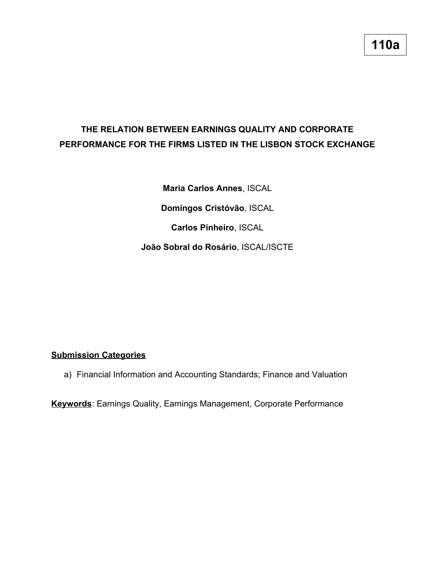# **THE RELATION BETWEEN EARNINGS QUALITY AND CORPORATE PERFORMANCE FOR THE FIRMS LISTED IN THE LISBON STOCK EXCHANGE**

**Maria Carlos Annes**, ISCAL

**Domingos Cristóvão**, ISCAL

**Carlos Pinheiro**, ISCAL

**João Sobral do Rosário**, ISCAL/ISCTE

# **Submission Categories**

a) Financial Information and Accounting Standards; Finance and Valuation

**Keywords**: Earnings Quality, Earnings Management, Corporate Performance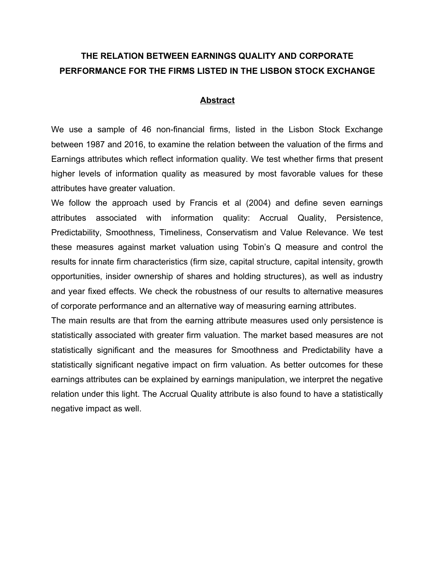# **THE RELATION BETWEEN EARNINGS QUALITY AND CORPORATE PERFORMANCE FOR THE FIRMS LISTED IN THE LISBON STOCK EXCHANGE**

#### **Abstract**

We use a sample of 46 non-financial firms, listed in the Lisbon Stock Exchange between 1987 and 2016, to examine the relation between the valuation of the firms and Earnings attributes which reflect information quality. We test whether firms that present higher levels of information quality as measured by most favorable values for these attributes have greater valuation.

We follow the approach used by Francis et al (2004) and define seven earnings attributes associated with information quality: Accrual Quality, Persistence, Predictability, Smoothness, Timeliness, Conservatism and Value Relevance. We test these measures against market valuation using Tobin's Q measure and control the results for innate firm characteristics (firm size, capital structure, capital intensity, growth opportunities, insider ownership of shares and holding structures), as well as industry and year fixed effects. We check the robustness of our results to alternative measures of corporate performance and an alternative way of measuring earning attributes.

The main results are that from the earning attribute measures used only persistence is statistically associated with greater firm valuation. The market based measures are not statistically significant and the measures for Smoothness and Predictability have a statistically significant negative impact on firm valuation. As better outcomes for these earnings attributes can be explained by earnings manipulation, we interpret the negative relation under this light. The Accrual Quality attribute is also found to have a statistically negative impact as well.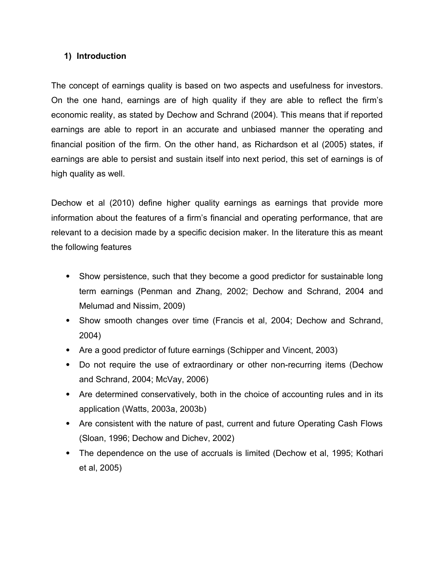# **1) Introduction**

The concept of earnings quality is based on two aspects and usefulness for investors. On the one hand, earnings are of high quality if they are able to reflect the firm's economic reality, as stated by Dechow and Schrand (2004). This means that if reported earnings are able to report in an accurate and unbiased manner the operating and financial position of the firm. On the other hand, as Richardson et al (2005) states, if earnings are able to persist and sustain itself into next period, this set of earnings is of high quality as well.

Dechow et al (2010) define higher quality earnings as earnings that provide more information about the features of a firm's financial and operating performance, that are relevant to a decision made by a specific decision maker. In the literature this as meant the following features

- Show persistence, such that they become a good predictor for sustainable long term earnings (Penman and Zhang, 2002; Dechow and Schrand, 2004 and Melumad and Nissim, 2009)
- Show smooth changes over time (Francis et al, 2004; Dechow and Schrand, 2004)
- Are a good predictor of future earnings (Schipper and Vincent, 2003)
- Do not require the use of extraordinary or other non-recurring items (Dechow and Schrand, 2004; McVay, 2006)
- Are determined conservatively, both in the choice of accounting rules and in its application (Watts, 2003a, 2003b)
- Are consistent with the nature of past, current and future Operating Cash Flows (Sloan, 1996; Dechow and Dichev, 2002)
- The dependence on the use of accruals is limited (Dechow et al, 1995; Kothari et al, 2005)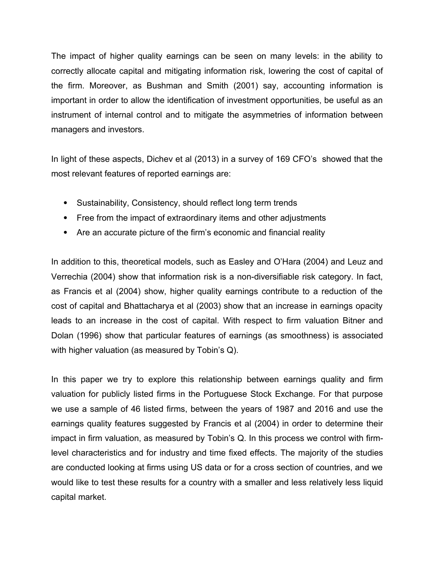The impact of higher quality earnings can be seen on many levels: in the ability to correctly allocate capital and mitigating information risk, lowering the cost of capital of the firm. Moreover, as Bushman and Smith (2001) say, accounting information is important in order to allow the identification of investment opportunities, be useful as an instrument of internal control and to mitigate the asymmetries of information between managers and investors.

In light of these aspects, Dichev et al (2013) in a survey of 169 CFO's showed that the most relevant features of reported earnings are:

- Sustainability, Consistency, should reflect long term trends
- Free from the impact of extraordinary items and other adjustments
- Are an accurate picture of the firm's economic and financial reality

In addition to this, theoretical models, such as Easley and O'Hara (2004) and Leuz and Verrechia (2004) show that information risk is a non-diversifiable risk category. In fact, as Francis et al (2004) show, higher quality earnings contribute to a reduction of the cost of capital and Bhattacharya et al (2003) show that an increase in earnings opacity leads to an increase in the cost of capital. With respect to firm valuation Bitner and Dolan (1996) show that particular features of earnings (as smoothness) is associated with higher valuation (as measured by Tobin's Q).

In this paper we try to explore this relationship between earnings quality and firm valuation for publicly listed firms in the Portuguese Stock Exchange. For that purpose we use a sample of 46 listed firms, between the years of 1987 and 2016 and use the earnings quality features suggested by Francis et al (2004) in order to determine their impact in firm valuation, as measured by Tobin's Q. In this process we control with firmlevel characteristics and for industry and time fixed effects. The majority of the studies are conducted looking at firms using US data or for a cross section of countries, and we would like to test these results for a country with a smaller and less relatively less liquid capital market.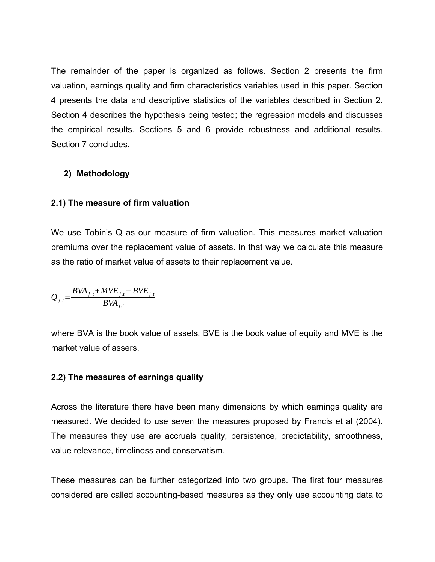The remainder of the paper is organized as follows. Section 2 presents the firm valuation, earnings quality and firm characteristics variables used in this paper. Section 4 presents the data and descriptive statistics of the variables described in Section 2. Section 4 describes the hypothesis being tested; the regression models and discusses the empirical results. Sections 5 and 6 provide robustness and additional results. Section 7 concludes.

#### **2) Methodology**

#### **2.1) The measure of firm valuation**

We use Tobin's Q as our measure of firm valuation. This measures market valuation premiums over the replacement value of assets. In that way we calculate this measure as the ratio of market value of assets to their replacement value.

$$
Q_{j,t} = \frac{BVA_{j,t} + MVE_{j,t} - BVE_{j,t}}{BVA_{j,t}}
$$

where BVA is the book value of assets, BVE is the book value of equity and MVE is the market value of assers.

#### **2.2) The measures of earnings quality**

Across the literature there have been many dimensions by which earnings quality are measured. We decided to use seven the measures proposed by Francis et al (2004). The measures they use are accruals quality, persistence, predictability, smoothness, value relevance, timeliness and conservatism.

These measures can be further categorized into two groups. The first four measures considered are called accounting-based measures as they only use accounting data to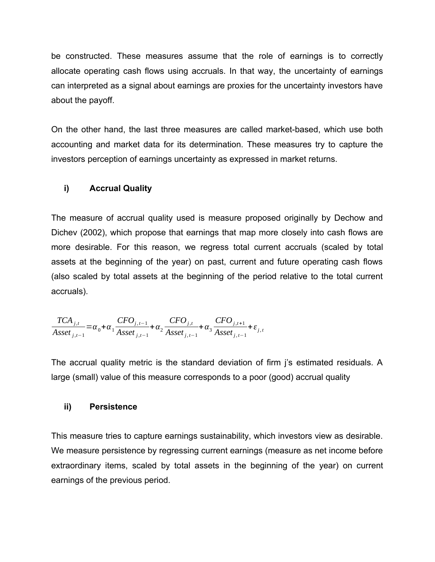be constructed. These measures assume that the role of earnings is to correctly allocate operating cash flows using accruals. In that way, the uncertainty of earnings can interpreted as a signal about earnings are proxies for the uncertainty investors have about the payoff.

On the other hand, the last three measures are called market-based, which use both accounting and market data for its determination. These measures try to capture the investors perception of earnings uncertainty as expressed in market returns.

# **i) Accrual Quality**

The measure of accrual quality used is measure proposed originally by Dechow and Dichev (2002), which propose that earnings that map more closely into cash flows are more desirable. For this reason, we regress total current accruals (scaled by total assets at the beginning of the year) on past, current and future operating cash flows (also scaled by total assets at the beginning of the period relative to the total current accruals).

 $TCA_{j,t}$  $\frac{1}{\text{csc }t}$  *j*,*t*−1</sub> =  $\alpha_0$  +  $\alpha_1$  $CFO_{j, t-1}$  $\frac{\sum_{j,t=1}^{T} \alpha_j}{\text{Asset}_{j,t-1}}$ +  $\alpha_2$  $CFO_{j,t}$  $\frac{C_1 + C_{j,t}}{A \text{sset}_{j,t-1}} + \alpha_3$  $CFO_{j,t+1}$  $\frac{X}{s}$ **Asset**<sub>*j*, *t*−1</sub>

The accrual quality metric is the standard deviation of firm j's estimated residuals. A large (small) value of this measure corresponds to a poor (good) accrual quality

#### **ii) Persistence**

This measure tries to capture earnings sustainability, which investors view as desirable. We measure persistence by regressing current earnings (measure as net income before extraordinary items, scaled by total assets in the beginning of the year) on current earnings of the previous period.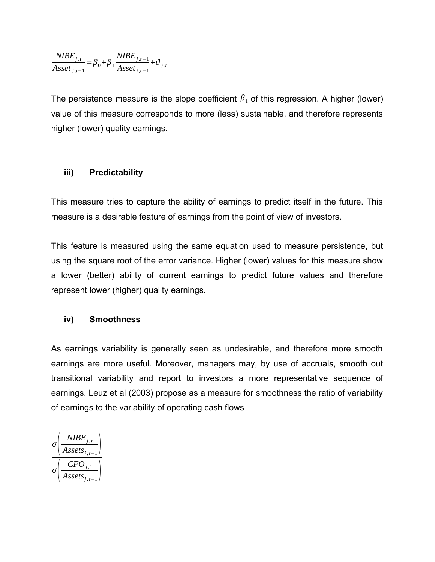$$
\frac{NIBE_{j,t}}{\:_{j,t-1}} = \beta_0 + \beta_1 \frac{NIBE_{j,t-1}}{Asset_{j,t-1}} + \vartheta_{j,t}
$$

The persistence measure is the slope coefficient  $\beta_1$  of this regression. A higher (lower) value of this measure corresponds to more (less) sustainable, and therefore represents higher (lower) quality earnings.

# **iii) Predictability**

This measure tries to capture the ability of earnings to predict itself in the future. This measure is a desirable feature of earnings from the point of view of investors.

This feature is measured using the same equation used to measure persistence, but using the square root of the error variance. Higher (lower) values for this measure show a lower (better) ability of current earnings to predict future values and therefore represent lower (higher) quality earnings.

## **iv) Smoothness**

As earnings variability is generally seen as undesirable, and therefore more smooth earnings are more useful. Moreover, managers may, by use of accruals, smooth out transitional variability and report to investors a more representative sequence of earnings. Leuz et al (2003) propose as a measure for smoothness the ratio of variability of earnings to the variability of operating cash flows

$$
\sigma \left( \frac{\text{NIBE}_{j,t}}{\text{Assets}_{j,t-1}} \right)
$$

$$
\sigma \left( \frac{\text{CFO}_{j,t}}{\text{Assets}_{j,t-1}} \right)
$$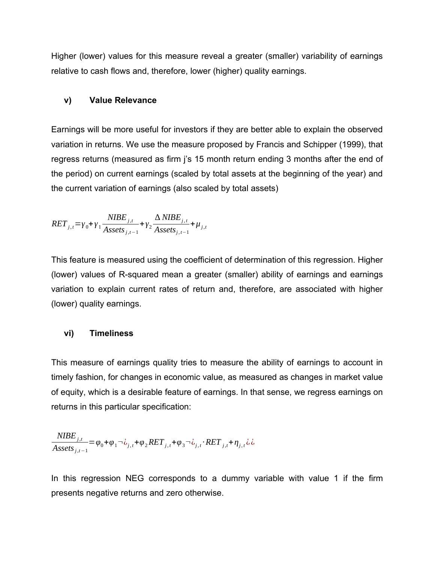Higher (lower) values for this measure reveal a greater (smaller) variability of earnings relative to cash flows and, therefore, lower (higher) quality earnings.

#### **v) Value Relevance**

Earnings will be more useful for investors if they are better able to explain the observed variation in returns. We use the measure proposed by Francis and Schipper (1999), that regress returns (measured as firm j's 15 month return ending 3 months after the end of the period) on current earnings (scaled by total assets at the beginning of the year) and the current variation of earnings (also scaled by total assets)

$$
RET_{j,t} = \gamma_0 + \gamma_1 \frac{NIBE_{j,t}}{Assets_{j,t-1}} + \gamma_2 \frac{\Delta NIBE_{j,t}}{Assets_{j,t-1}} + \mu_{j,t}
$$

This feature is measured using the coefficient of determination of this regression. Higher (lower) values of R-squared mean a greater (smaller) ability of earnings and earnings variation to explain current rates of return and, therefore, are associated with higher (lower) quality earnings.

## **vi) Timeliness**

This measure of earnings quality tries to measure the ability of earnings to account in timely fashion, for changes in economic value, as measured as changes in market value of equity, which is a desirable feature of earnings. In that sense, we regress earnings on returns in this particular specification:

$$
\frac{NIBE_{j,t}}{Assets_{j,t-1}} = \varphi_0 + \varphi_1 \neg \dot{\zeta}_{j,t} + \varphi_2 RET_{j,t} + \varphi_3 \neg \dot{\zeta}_{j,t} \cdot RET_{j,t} + \eta_{j,t} \dot{\zeta}
$$

In this regression NEG corresponds to a dummy variable with value 1 if the firm presents negative returns and zero otherwise.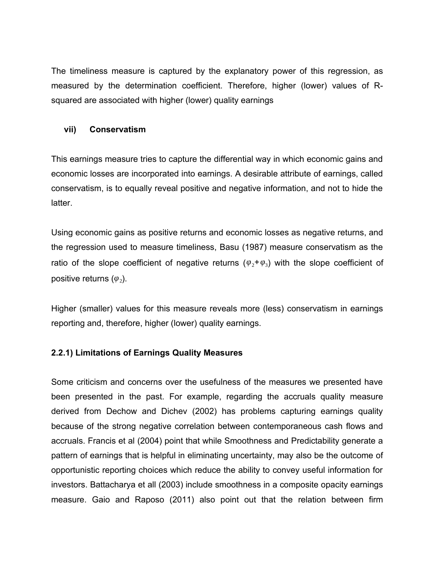The timeliness measure is captured by the explanatory power of this regression, as measured by the determination coefficient. Therefore, higher (lower) values of Rsquared are associated with higher (lower) quality earnings

#### **vii) Conservatism**

This earnings measure tries to capture the differential way in which economic gains and economic losses are incorporated into earnings. A desirable attribute of earnings, called conservatism, is to equally reveal positive and negative information, and not to hide the latter.

Using economic gains as positive returns and economic losses as negative returns, and the regression used to measure timeliness, Basu (1987) measure conservatism as the ratio of the slope coefficient of negative returns ( $\varphi_2 + \varphi_3$ ) with the slope coefficient of positive returns (*φ*<sub>2</sub>).

Higher (smaller) values for this measure reveals more (less) conservatism in earnings reporting and, therefore, higher (lower) quality earnings.

## **2.2.1) Limitations of Earnings Quality Measures**

Some criticism and concerns over the usefulness of the measures we presented have been presented in the past. For example, regarding the accruals quality measure derived from Dechow and Dichev (2002) has problems capturing earnings quality because of the strong negative correlation between contemporaneous cash flows and accruals. Francis et al (2004) point that while Smoothness and Predictability generate a pattern of earnings that is helpful in eliminating uncertainty, may also be the outcome of opportunistic reporting choices which reduce the ability to convey useful information for investors. Battacharya et all (2003) include smoothness in a composite opacity earnings measure. Gaio and Raposo (2011) also point out that the relation between firm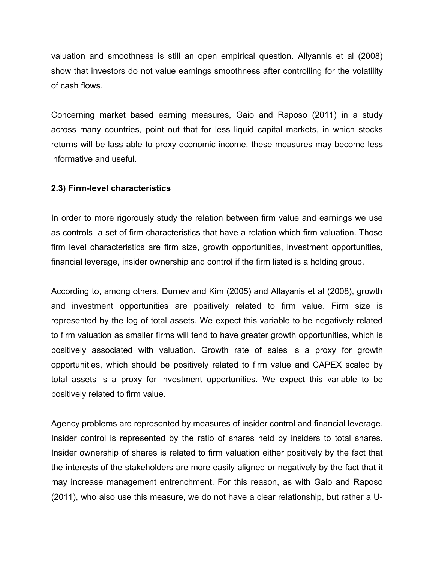valuation and smoothness is still an open empirical question. Allyannis et al (2008) show that investors do not value earnings smoothness after controlling for the volatility of cash flows.

Concerning market based earning measures, Gaio and Raposo (2011) in a study across many countries, point out that for less liquid capital markets, in which stocks returns will be lass able to proxy economic income, these measures may become less informative and useful.

# **2.3) Firm-level characteristics**

In order to more rigorously study the relation between firm value and earnings we use as controls a set of firm characteristics that have a relation which firm valuation. Those firm level characteristics are firm size, growth opportunities, investment opportunities, financial leverage, insider ownership and control if the firm listed is a holding group.

According to, among others, Durnev and Kim (2005) and Allayanis et al (2008), growth and investment opportunities are positively related to firm value. Firm size is represented by the log of total assets. We expect this variable to be negatively related to firm valuation as smaller firms will tend to have greater growth opportunities, which is positively associated with valuation. Growth rate of sales is a proxy for growth opportunities, which should be positively related to firm value and CAPEX scaled by total assets is a proxy for investment opportunities. We expect this variable to be positively related to firm value.

Agency problems are represented by measures of insider control and financial leverage. Insider control is represented by the ratio of shares held by insiders to total shares. Insider ownership of shares is related to firm valuation either positively by the fact that the interests of the stakeholders are more easily aligned or negatively by the fact that it may increase management entrenchment. For this reason, as with Gaio and Raposo (2011), who also use this measure, we do not have a clear relationship, but rather a U-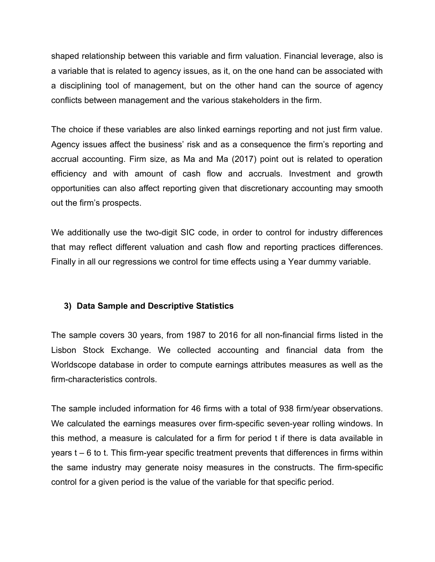shaped relationship between this variable and firm valuation. Financial leverage, also is a variable that is related to agency issues, as it, on the one hand can be associated with a disciplining tool of management, but on the other hand can the source of agency conflicts between management and the various stakeholders in the firm.

The choice if these variables are also linked earnings reporting and not just firm value. Agency issues affect the business' risk and as a consequence the firm's reporting and accrual accounting. Firm size, as Ma and Ma (2017) point out is related to operation efficiency and with amount of cash flow and accruals. Investment and growth opportunities can also affect reporting given that discretionary accounting may smooth out the firm's prospects.

We additionally use the two-digit SIC code, in order to control for industry differences that may reflect different valuation and cash flow and reporting practices differences. Finally in all our regressions we control for time effects using a Year dummy variable.

## **3) Data Sample and Descriptive Statistics**

The sample covers 30 years, from 1987 to 2016 for all non-financial firms listed in the Lisbon Stock Exchange. We collected accounting and financial data from the Worldscope database in order to compute earnings attributes measures as well as the firm-characteristics controls.

The sample included information for 46 firms with a total of 938 firm/year observations. We calculated the earnings measures over firm-specific seven-year rolling windows. In this method, a measure is calculated for a firm for period t if there is data available in years t – 6 to t. This firm-year specific treatment prevents that differences in firms within the same industry may generate noisy measures in the constructs. The firm-specific control for a given period is the value of the variable for that specific period.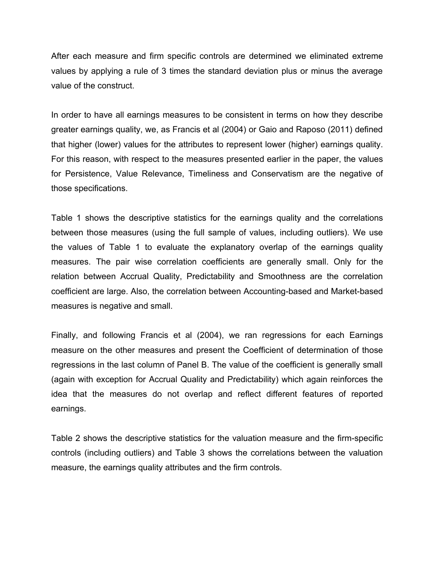After each measure and firm specific controls are determined we eliminated extreme values by applying a rule of 3 times the standard deviation plus or minus the average value of the construct.

In order to have all earnings measures to be consistent in terms on how they describe greater earnings quality, we, as Francis et al (2004) or Gaio and Raposo (2011) defined that higher (lower) values for the attributes to represent lower (higher) earnings quality. For this reason, with respect to the measures presented earlier in the paper, the values for Persistence, Value Relevance, Timeliness and Conservatism are the negative of those specifications.

Table 1 shows the descriptive statistics for the earnings quality and the correlations between those measures (using the full sample of values, including outliers). We use the values of Table 1 to evaluate the explanatory overlap of the earnings quality measures. The pair wise correlation coefficients are generally small. Only for the relation between Accrual Quality, Predictability and Smoothness are the correlation coefficient are large. Also, the correlation between Accounting-based and Market-based measures is negative and small.

Finally, and following Francis et al (2004), we ran regressions for each Earnings measure on the other measures and present the Coefficient of determination of those regressions in the last column of Panel B. The value of the coefficient is generally small (again with exception for Accrual Quality and Predictability) which again reinforces the idea that the measures do not overlap and reflect different features of reported earnings.

Table 2 shows the descriptive statistics for the valuation measure and the firm-specific controls (including outliers) and Table 3 shows the correlations between the valuation measure, the earnings quality attributes and the firm controls.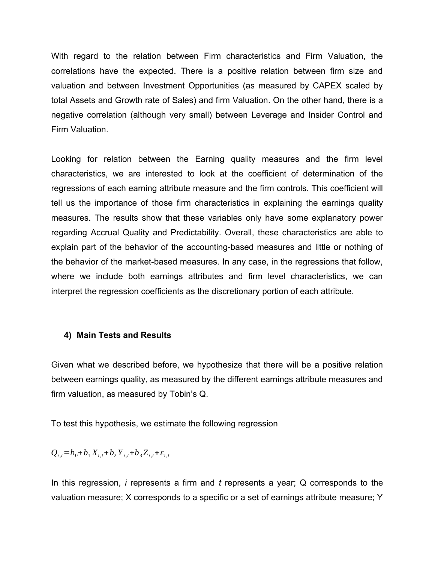With regard to the relation between Firm characteristics and Firm Valuation, the correlations have the expected. There is a positive relation between firm size and valuation and between Investment Opportunities (as measured by CAPEX scaled by total Assets and Growth rate of Sales) and firm Valuation. On the other hand, there is a negative correlation (although very small) between Leverage and Insider Control and Firm Valuation.

Looking for relation between the Earning quality measures and the firm level characteristics, we are interested to look at the coefficient of determination of the regressions of each earning attribute measure and the firm controls. This coefficient will tell us the importance of those firm characteristics in explaining the earnings quality measures. The results show that these variables only have some explanatory power regarding Accrual Quality and Predictability. Overall, these characteristics are able to explain part of the behavior of the accounting-based measures and little or nothing of the behavior of the market-based measures. In any case, in the regressions that follow, where we include both earnings attributes and firm level characteristics, we can interpret the regression coefficients as the discretionary portion of each attribute.

#### **4) Main Tests and Results**

Given what we described before, we hypothesize that there will be a positive relation between earnings quality, as measured by the different earnings attribute measures and firm valuation, as measured by Tobin's Q.

To test this hypothesis, we estimate the following regression

$$
Q_{i,t} = b_0 + b_1 X_{i,t} + b_2 Y_{i,t} + b_3 Z_{i,t} + \varepsilon_{i,t}
$$

In this regression, *i* represents a firm and *t* represents a year; Q corresponds to the valuation measure; X corresponds to a specific or a set of earnings attribute measure; Y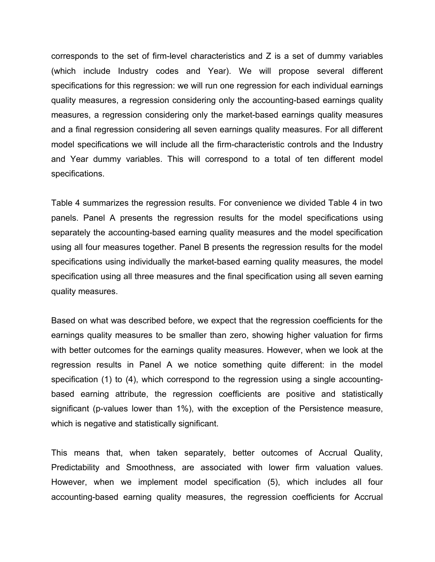corresponds to the set of firm-level characteristics and Z is a set of dummy variables (which include Industry codes and Year). We will propose several different specifications for this regression: we will run one regression for each individual earnings quality measures, a regression considering only the accounting-based earnings quality measures, a regression considering only the market-based earnings quality measures and a final regression considering all seven earnings quality measures. For all different model specifications we will include all the firm-characteristic controls and the Industry and Year dummy variables. This will correspond to a total of ten different model specifications.

Table 4 summarizes the regression results. For convenience we divided Table 4 in two panels. Panel A presents the regression results for the model specifications using separately the accounting-based earning quality measures and the model specification using all four measures together. Panel B presents the regression results for the model specifications using individually the market-based earning quality measures, the model specification using all three measures and the final specification using all seven earning quality measures.

Based on what was described before, we expect that the regression coefficients for the earnings quality measures to be smaller than zero, showing higher valuation for firms with better outcomes for the earnings quality measures. However, when we look at the regression results in Panel A we notice something quite different: in the model specification (1) to (4), which correspond to the regression using a single accountingbased earning attribute, the regression coefficients are positive and statistically significant (p-values lower than 1%), with the exception of the Persistence measure, which is negative and statistically significant.

This means that, when taken separately, better outcomes of Accrual Quality, Predictability and Smoothness, are associated with lower firm valuation values. However, when we implement model specification (5), which includes all four accounting-based earning quality measures, the regression coefficients for Accrual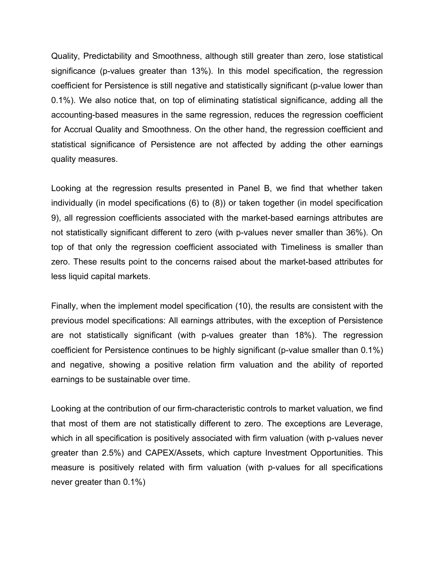Quality, Predictability and Smoothness, although still greater than zero, lose statistical significance (p-values greater than 13%). In this model specification, the regression coefficient for Persistence is still negative and statistically significant (p-value lower than 0.1%). We also notice that, on top of eliminating statistical significance, adding all the accounting-based measures in the same regression, reduces the regression coefficient for Accrual Quality and Smoothness. On the other hand, the regression coefficient and statistical significance of Persistence are not affected by adding the other earnings quality measures.

Looking at the regression results presented in Panel B, we find that whether taken individually (in model specifications (6) to (8)) or taken together (in model specification 9), all regression coefficients associated with the market-based earnings attributes are not statistically significant different to zero (with p-values never smaller than 36%). On top of that only the regression coefficient associated with Timeliness is smaller than zero. These results point to the concerns raised about the market-based attributes for less liquid capital markets.

Finally, when the implement model specification (10), the results are consistent with the previous model specifications: All earnings attributes, with the exception of Persistence are not statistically significant (with p-values greater than 18%). The regression coefficient for Persistence continues to be highly significant (p-value smaller than 0.1%) and negative, showing a positive relation firm valuation and the ability of reported earnings to be sustainable over time.

Looking at the contribution of our firm-characteristic controls to market valuation, we find that most of them are not statistically different to zero. The exceptions are Leverage, which in all specification is positively associated with firm valuation (with p-values never greater than 2.5%) and CAPEX/Assets, which capture Investment Opportunities. This measure is positively related with firm valuation (with p-values for all specifications never greater than 0.1%)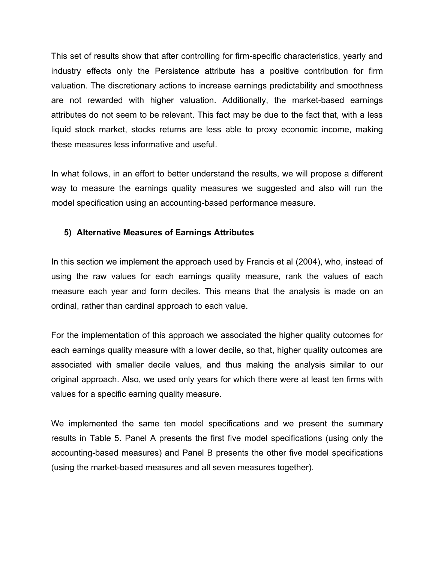This set of results show that after controlling for firm-specific characteristics, yearly and industry effects only the Persistence attribute has a positive contribution for firm valuation. The discretionary actions to increase earnings predictability and smoothness are not rewarded with higher valuation. Additionally, the market-based earnings attributes do not seem to be relevant. This fact may be due to the fact that, with a less liquid stock market, stocks returns are less able to proxy economic income, making these measures less informative and useful.

In what follows, in an effort to better understand the results, we will propose a different way to measure the earnings quality measures we suggested and also will run the model specification using an accounting-based performance measure.

# **5) Alternative Measures of Earnings Attributes**

In this section we implement the approach used by Francis et al (2004), who, instead of using the raw values for each earnings quality measure, rank the values of each measure each year and form deciles. This means that the analysis is made on an ordinal, rather than cardinal approach to each value.

For the implementation of this approach we associated the higher quality outcomes for each earnings quality measure with a lower decile, so that, higher quality outcomes are associated with smaller decile values, and thus making the analysis similar to our original approach. Also, we used only years for which there were at least ten firms with values for a specific earning quality measure.

We implemented the same ten model specifications and we present the summary results in Table 5. Panel A presents the first five model specifications (using only the accounting-based measures) and Panel B presents the other five model specifications (using the market-based measures and all seven measures together).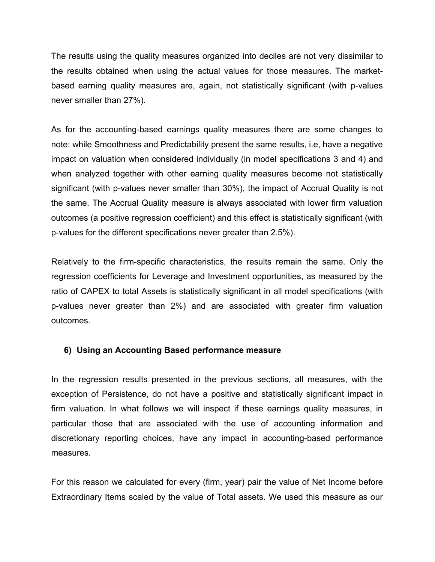The results using the quality measures organized into deciles are not very dissimilar to the results obtained when using the actual values for those measures. The marketbased earning quality measures are, again, not statistically significant (with p-values never smaller than 27%).

As for the accounting-based earnings quality measures there are some changes to note: while Smoothness and Predictability present the same results, i.e, have a negative impact on valuation when considered individually (in model specifications 3 and 4) and when analyzed together with other earning quality measures become not statistically significant (with p-values never smaller than 30%), the impact of Accrual Quality is not the same. The Accrual Quality measure is always associated with lower firm valuation outcomes (a positive regression coefficient) and this effect is statistically significant (with p-values for the different specifications never greater than 2.5%).

Relatively to the firm-specific characteristics, the results remain the same. Only the regression coefficients for Leverage and Investment opportunities, as measured by the ratio of CAPEX to total Assets is statistically significant in all model specifications (with p-values never greater than 2%) and are associated with greater firm valuation outcomes.

## **6) Using an Accounting Based performance measure**

In the regression results presented in the previous sections, all measures, with the exception of Persistence, do not have a positive and statistically significant impact in firm valuation. In what follows we will inspect if these earnings quality measures, in particular those that are associated with the use of accounting information and discretionary reporting choices, have any impact in accounting-based performance measures.

For this reason we calculated for every (firm, year) pair the value of Net Income before Extraordinary Items scaled by the value of Total assets. We used this measure as our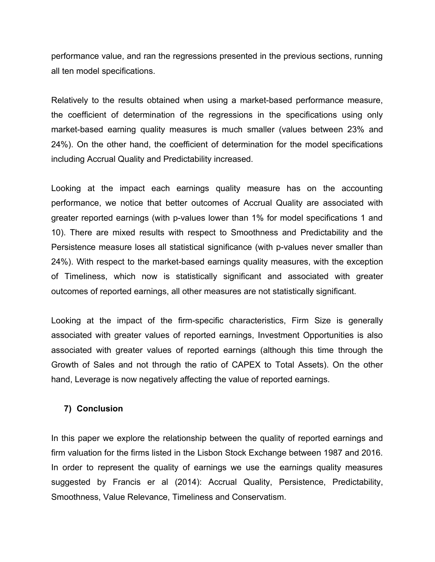performance value, and ran the regressions presented in the previous sections, running all ten model specifications.

Relatively to the results obtained when using a market-based performance measure, the coefficient of determination of the regressions in the specifications using only market-based earning quality measures is much smaller (values between 23% and 24%). On the other hand, the coefficient of determination for the model specifications including Accrual Quality and Predictability increased.

Looking at the impact each earnings quality measure has on the accounting performance, we notice that better outcomes of Accrual Quality are associated with greater reported earnings (with p-values lower than 1% for model specifications 1 and 10). There are mixed results with respect to Smoothness and Predictability and the Persistence measure loses all statistical significance (with p-values never smaller than 24%). With respect to the market-based earnings quality measures, with the exception of Timeliness, which now is statistically significant and associated with greater outcomes of reported earnings, all other measures are not statistically significant.

Looking at the impact of the firm-specific characteristics, Firm Size is generally associated with greater values of reported earnings, Investment Opportunities is also associated with greater values of reported earnings (although this time through the Growth of Sales and not through the ratio of CAPEX to Total Assets). On the other hand, Leverage is now negatively affecting the value of reported earnings.

#### **7) Conclusion**

In this paper we explore the relationship between the quality of reported earnings and firm valuation for the firms listed in the Lisbon Stock Exchange between 1987 and 2016. In order to represent the quality of earnings we use the earnings quality measures suggested by Francis er al (2014): Accrual Quality, Persistence, Predictability, Smoothness, Value Relevance, Timeliness and Conservatism.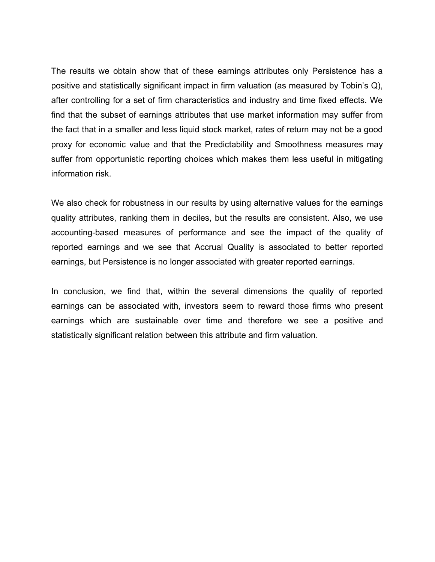The results we obtain show that of these earnings attributes only Persistence has a positive and statistically significant impact in firm valuation (as measured by Tobin's Q), after controlling for a set of firm characteristics and industry and time fixed effects. We find that the subset of earnings attributes that use market information may suffer from the fact that in a smaller and less liquid stock market, rates of return may not be a good proxy for economic value and that the Predictability and Smoothness measures may suffer from opportunistic reporting choices which makes them less useful in mitigating information risk.

We also check for robustness in our results by using alternative values for the earnings quality attributes, ranking them in deciles, but the results are consistent. Also, we use accounting-based measures of performance and see the impact of the quality of reported earnings and we see that Accrual Quality is associated to better reported earnings, but Persistence is no longer associated with greater reported earnings.

In conclusion, we find that, within the several dimensions the quality of reported earnings can be associated with, investors seem to reward those firms who present earnings which are sustainable over time and therefore we see a positive and statistically significant relation between this attribute and firm valuation.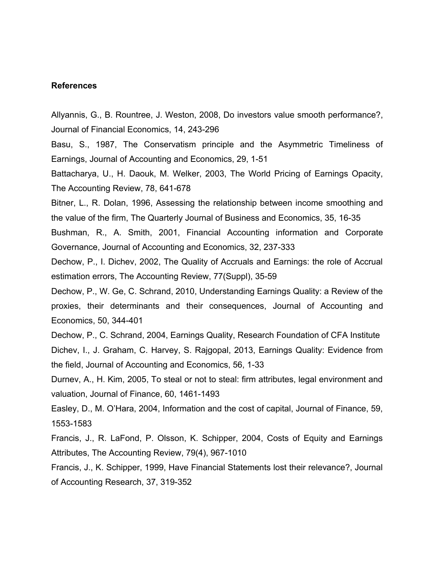#### **References**

Allyannis, G., B. Rountree, J. Weston, 2008, Do investors value smooth performance?, Journal of Financial Economics, 14, 243-296

Basu, S., 1987, The Conservatism principle and the Asymmetric Timeliness of Earnings, Journal of Accounting and Economics, 29, 1-51

Battacharya, U., H. Daouk, M. Welker, 2003, The World Pricing of Earnings Opacity, The Accounting Review, 78, 641-678

Bitner, L., R. Dolan, 1996, Assessing the relationship between income smoothing and the value of the firm, The Quarterly Journal of Business and Economics, 35, 16-35

Bushman, R., A. Smith, 2001, Financial Accounting information and Corporate Governance, Journal of Accounting and Economics, 32, 237-333

Dechow, P., I. Dichev, 2002, The Quality of Accruals and Earnings: the role of Accrual estimation errors, The Accounting Review, 77(Suppl), 35-59

Dechow, P., W. Ge, C. Schrand, 2010, Understanding Earnings Quality: a Review of the proxies, their determinants and their consequences, Journal of Accounting and Economics, 50, 344-401

Dechow, P., C. Schrand, 2004, Earnings Quality, Research Foundation of CFA Institute Dichev, I., J. Graham, C. Harvey, S. Rajgopal, 2013, Earnings Quality: Evidence from the field, Journal of Accounting and Economics, 56, 1-33

Durnev, A., H. Kim, 2005, To steal or not to steal: firm attributes, legal environment and valuation, Journal of Finance, 60, 1461-1493

Easley, D., M. O'Hara, 2004, Information and the cost of capital, Journal of Finance, 59, 1553-1583

Francis, J., R. LaFond, P. Olsson, K. Schipper, 2004, Costs of Equity and Earnings Attributes, The Accounting Review, 79(4), 967-1010

Francis, J., K. Schipper, 1999, Have Financial Statements lost their relevance?, Journal of Accounting Research, 37, 319-352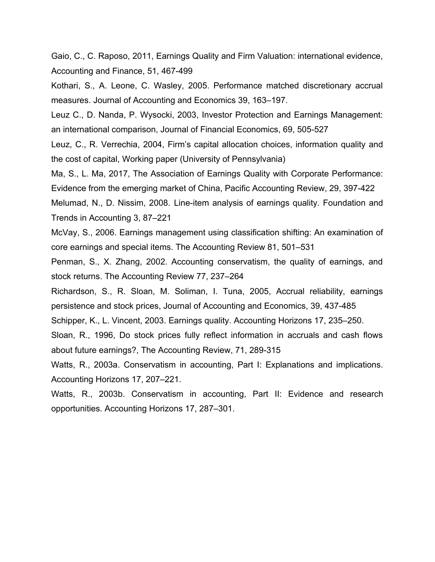Gaio, C., C. Raposo, 2011, Earnings Quality and Firm Valuation: international evidence, Accounting and Finance, 51, 467-499

Kothari, S., A. Leone, C. Wasley, 2005. Performance matched discretionary accrual measures. Journal of Accounting and Economics 39, 163–197.

Leuz C., D. Nanda, P. Wysocki, 2003, Investor Protection and Earnings Management: an international comparison, Journal of Financial Economics, 69, 505-527

Leuz, C., R. Verrechia, 2004, Firm's capital allocation choices, information quality and the cost of capital, Working paper (University of Pennsylvania)

Ma, S., L. Ma, 2017, The Association of Earnings Quality with Corporate Performance: Evidence from the emerging market of China, Pacific Accounting Review, 29, 397-422

Melumad, N., D. Nissim, 2008. Line-item analysis of earnings quality. Foundation and Trends in Accounting 3, 87–221

McVay, S., 2006. Earnings management using classification shifting: An examination of core earnings and special items. The Accounting Review 81, 501–531

Penman, S., X. Zhang, 2002. Accounting conservatism, the quality of earnings, and stock returns. The Accounting Review 77, 237–264

Richardson, S., R. Sloan, M. Soliman, I. Tuna, 2005, Accrual reliability, earnings persistence and stock prices, Journal of Accounting and Economics, 39, 437-485

Schipper, K., L. Vincent, 2003. Earnings quality. Accounting Horizons 17, 235–250.

Sloan, R., 1996, Do stock prices fully reflect information in accruals and cash flows about future earnings?, The Accounting Review, 71, 289-315

Watts, R., 2003a. Conservatism in accounting, Part I: Explanations and implications. Accounting Horizons 17, 207–221.

Watts, R., 2003b. Conservatism in accounting, Part II: Evidence and research opportunities. Accounting Horizons 17, 287–301.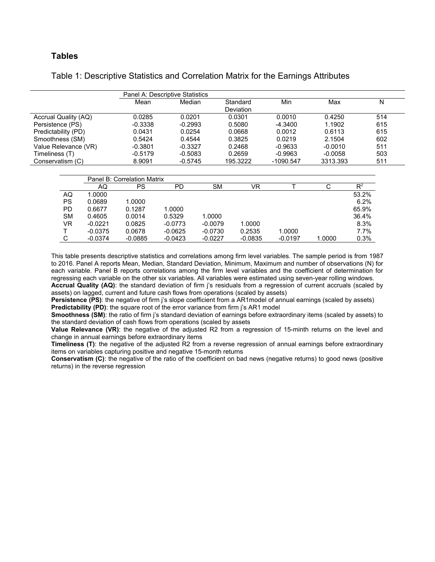#### **Tables**

| Table 1: Descriptive Statistics and Correlation Matrix for the Earnings Attributes |
|------------------------------------------------------------------------------------|
|------------------------------------------------------------------------------------|

|                      | Panel A: Descriptive Statistics |           |           |           |           |     |
|----------------------|---------------------------------|-----------|-----------|-----------|-----------|-----|
|                      | Mean                            | Median    | Standard  | Min       | Max       | N   |
|                      |                                 |           | Deviation |           |           |     |
| Accrual Quality (AQ) | 0.0285                          | 0.0201    | 0.0301    | 0.0010    | 0.4250    | 514 |
| Persistence (PS)     | $-0.3338$                       | $-0.2993$ | 0.5080    | $-4.3400$ | 1.1902    | 615 |
| Predictability (PD)  | 0.0431                          | 0.0254    | 0.0668    | 0.0012    | 0.6113    | 615 |
| Smoothness (SM)      | 0.5424                          | 0.4544    | 0.3825    | 0.0219    | 2.1504    | 602 |
| Value Relevance (VR) | $-0.3801$                       | $-0.3327$ | 0.2468    | $-0.9633$ | $-0.0010$ | 511 |
| Timeliness (T)       | $-0.5179$                       | $-0.5083$ | 0.2659    | $-0.9963$ | $-0.0058$ | 503 |
| Conservatism (C)     | 8.9091                          | $-0.5745$ | 195.3222  | -1090.547 | 3313.393  | 511 |

|           | Panel B: Correlation Matrix |           |           |           |           |           |        |       |  |
|-----------|-----------------------------|-----------|-----------|-----------|-----------|-----------|--------|-------|--|
|           | AQ                          | PS        | PD        | SΜ        | VR        |           | С      | $R^2$ |  |
| AQ        | 1.0000                      |           |           |           |           |           |        | 53.2% |  |
| <b>PS</b> | 0.0689                      | 1.0000    |           |           |           |           |        | 6.2%  |  |
| PD.       | 0.6677                      | 0.1287    | 1.0000    |           |           |           |        | 65.9% |  |
| <b>SM</b> | 0.4605                      | 0.0014    | 0.5329    | 1.0000    |           |           |        | 36.4% |  |
| VR        | $-0.0221$                   | 0.0825    | $-0.0773$ | $-0.0079$ | 1.0000    |           |        | 8.3%  |  |
|           | $-0.0375$                   | 0.0678    | $-0.0625$ | $-0.0730$ | 0.2535    | 1.0000    |        | 7.7%  |  |
| С         | $-0.0374$                   | $-0.0885$ | $-0.0423$ | $-0.0227$ | $-0.0835$ | $-0.0197$ | 1.0000 | 0.3%  |  |

This table presents descriptive statistics and correlations among firm level variables. The sample period is from 1987 to 2016. Panel A reports Mean, Median, Standard Deviation, Minimum, Maximum and number of observations (N) for each variable. Panel B reports correlations among the firm level variables and the coefficient of determination for regressing each variable on the other six variables. All variables were estimated using seven-year rolling windows. **Accrual Quality (AQ)**: the standard deviation of firm j's residuals from a regression of current accruals (scaled by assets) on lagged, current and future cash flows from operations (scaled by assets)

**Persistence (PS)**: the negative of firm j's slope coefficient from a AR1model of annual earnings (scaled by assets) **Predictability (PD)**: the square root of the error variance from firm j's AR1 model

**Smoothness (SM)**: the ratio of firm j's standard deviation of earnings before extraordinary items (scaled by assets) to the standard deviation of cash flows from operations (scaled by assets

**Value Relevance (VR)**: the negative of the adjusted R2 from a regression of 15-minth returns on the level and change in annual earnings before extraordinary items

**Timeliness (T)**: the negative of the adjusted R2 from a reverse regression of annual earnings before extraordinary items on variables capturing positive and negative 15-month returns

**Conservatism (C)**: the negative of the ratio of the coefficient on bad news (negative returns) to good news (positive returns) in the reverse regression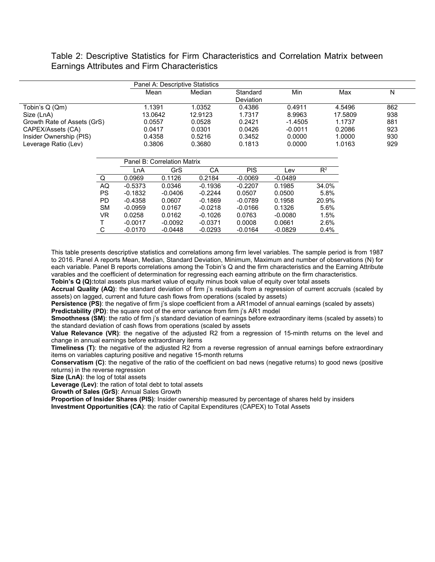Table 2: Descriptive Statistics for Firm Characteristics and Correlation Matrix between Earnings Attributes and Firm Characteristics

|                             | Panel A: Descriptive Statistics |         |                  |           |         |     |
|-----------------------------|---------------------------------|---------|------------------|-----------|---------|-----|
|                             | Mean                            | Median  | Standard         | Min       | Max     | N   |
|                             |                                 |         | <b>Deviation</b> |           |         |     |
| Tobin's Q (Qm)              | 1.1391                          | 1.0352  | 0.4386           | 0.4911    | 4.5496  | 862 |
| Size (LnA)                  | 13.0642                         | 12.9123 | 1.7317           | 8.9963    | 17.5809 | 938 |
| Growth Rate of Assets (GrS) | 0.0557                          | 0.0528  | 0.2421           | $-1.4505$ | 1.1737  | 881 |
| CAPEX/Assets (CA)           | 0.0417                          | 0.0301  | 0.0426           | $-0.0011$ | 0.2086  | 923 |
| Insider Ownership (PIS)     | 0.4358                          | 0.5216  | 0.3452           | 0.0000    | 1.0000  | 930 |
| Leverage Ratio (Lev)        | 0.3806                          | 0.3680  | 0.1813           | 0.0000    | 1.0163  | 929 |

|           |           | Panel B: Correlation Matrix |           |           |           |       |
|-----------|-----------|-----------------------------|-----------|-----------|-----------|-------|
|           | LnA       | GrS                         | CА        | PIS       | Lev       | $R^2$ |
| Q         | 0.0969    | 0.1126                      | 0.2184    | $-0.0069$ | $-0.0489$ |       |
| AQ        | $-0.5373$ | 0.0346                      | $-0.1936$ | $-0.2207$ | 0.1985    | 34.0% |
| <b>PS</b> | $-0.1832$ | $-0.0406$                   | $-0.2244$ | 0.0507    | 0.0500    | 5.8%  |
| <b>PD</b> | $-0.4358$ | 0.0607                      | $-0.1869$ | $-0.0789$ | 0.1958    | 20.9% |
| <b>SM</b> | $-0.0959$ | 0.0167                      | $-0.0218$ | $-0.0166$ | 0.1326    | 5.6%  |
| VR        | 0.0258    | 0.0162                      | $-0.1026$ | 0.0763    | $-0.0080$ | 1.5%  |
| т         | $-0.0017$ | $-0.0092$                   | $-0.0371$ | 0.0008    | 0.0661    | 2.6%  |
| С         | $-0.0170$ | $-0.0448$                   | $-0.0293$ | $-0.0164$ | $-0.0829$ | 0.4%  |

This table presents descriptive statistics and correlations among firm level variables. The sample period is from 1987 to 2016. Panel A reports Mean, Median, Standard Deviation, Minimum, Maximum and number of observations (N) for each variable. Panel B reports correlations among the Tobin's Q and the firm characteristics and the Earning Attribute varables and the coefficient of determination for regressing each earning attribute on the firm characteristics.

**Tobin's Q (Q):**total assets plus market value of equity minus book value of equity over total assets

**Accrual Quality (AQ)**: the standard deviation of firm j's residuals from a regression of current accruals (scaled by assets) on lagged, current and future cash flows from operations (scaled by assets)

**Persistence (PS)**: the negative of firm i's slope coefficient from a AR1model of annual earnings (scaled by assets) **Predictability (PD)**: the square root of the error variance from firm i's AR1 model

**Smoothness (SM)**: the ratio of firm j's standard deviation of earnings before extraordinary items (scaled by assets) to the standard deviation of cash flows from operations (scaled by assets

**Value Relevance (VR)**: the negative of the adjusted R2 from a regression of 15-minth returns on the level and change in annual earnings before extraordinary items

**Timeliness (T)**: the negative of the adjusted R2 from a reverse regression of annual earnings before extraordinary items on variables capturing positive and negative 15-month returns

**Conservatism (C)**: the negative of the ratio of the coefficient on bad news (negative returns) to good news (positive returns) in the reverse regression

**Size (LnA)**: the log of total assets

**Leverage (Lev)**: the ration of total debt to total assets

**Growth of Sales (GrS)**: Annual Sales Growth

**Proportion of Insider Shares (PIS)**: Insider ownership measured by percentage of shares held by insiders **Investment Opportunities (CA)**: the ratio of Capital Expenditures (CAPEX) to Total Assets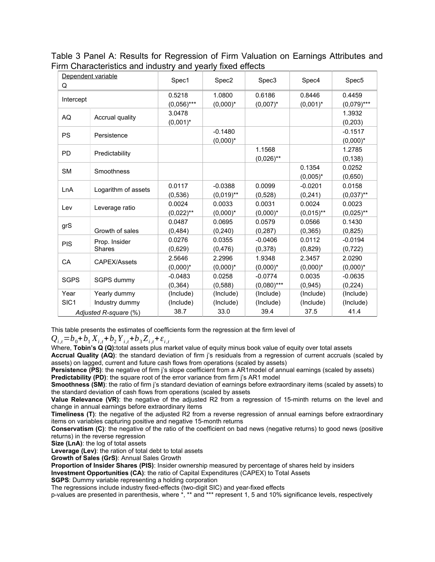Table 3 Panel A: Results for Regression of Firm Valuation on Earnings Attributes and Firm Characteristics and industry and yearly fixed effects

| Q                | Dependent variable    | Spec1         | Spec2        | Spec3         | Spec4        | Spec5         |
|------------------|-----------------------|---------------|--------------|---------------|--------------|---------------|
|                  |                       | 0.5218        | 1.0800       | 0.6186        | 0.8446       | 0.4459        |
| Intercept        |                       | $(0,056)$ *** | $(0,000)^*$  | $(0,007)^*$   | $(0,001)^*$  | $(0,079)$ *** |
| AQ               | Accrual quality       | 3.0478        |              |               |              | 1.3932        |
|                  |                       | $(0,001)^*$   |              |               |              | (0, 203)      |
| <b>PS</b>        | Persistence           |               | $-0.1480$    |               |              | $-0.1517$     |
|                  |                       |               | $(0,000)^*$  |               |              | $(0,000)^*$   |
| <b>PD</b>        | Predictability        |               |              | 1.1568        |              | 1.2785        |
|                  |                       |               |              | $(0,026)$ **  |              | (0, 138)      |
| <b>SM</b>        | Smoothness            |               |              |               | 0.1354       | 0.0252        |
|                  |                       |               |              |               | $(0,005)^*$  | (0.650)       |
| LnA              | Logarithm of assets   | 0.0117        | $-0.0388$    | 0.0099        | $-0.0201$    | 0.0158        |
|                  |                       | (0,536)       | $(0,019)$ ** | (0,528)       | (0, 241)     | $(0,037)$ **  |
| Lev              | Leverage ratio        | 0.0024        | 0.0033       | 0.0031        | 0.0024       | 0.0023        |
|                  |                       | $(0,022)$ **  | $(0,000)^*$  | $(0,000)^*$   | $(0,015)$ ** | $(0,025)$ **  |
| grS              |                       | 0.0487        | 0.0695       | 0.0579        | 0.0566       | 0.1430        |
|                  | Growth of sales       | (0, 484)      | (0, 240)     | (0, 287)      | (0, 365)     | (0,825)       |
| <b>PIS</b>       | Prop. Insider         | 0.0276        | 0.0355       | $-0.0406$     | 0.0112       | $-0.0194$     |
|                  | <b>Shares</b>         | (0,629)       | (0, 476)     | (0,378)       | (0.829)      | (0, 722)      |
| CA               | CAPEX/Assets          | 2.5646        | 2.2996       | 1.9348        | 2.3457       | 2.0290        |
|                  |                       | $(0,000)^*$   | $(0,000)^*$  | $(0,000)^*$   | $(0,000)^*$  | $(0,000)^*$   |
| <b>SGPS</b>      | SGPS dummy            | $-0.0483$     | 0.0258       | $-0.0774$     | 0.0035       | $-0.0635$     |
|                  |                       | (0, 364)      | (0,588)      | $(0,080)$ *** | (0, 945)     | (0, 224)      |
| Year             | Yearly dummy          | (Include)     | (Include)    | (Include)     | (Include)    | (Include)     |
| SIC <sub>1</sub> | Industry dummy        | (Include)     | (Include)    | (Include)     | (Include)    | (Include)     |
|                  | Adjusted R-square (%) | 38.7          | 33.0         | 39.4          | 37.5         | 41.4          |

This table presents the estimates of coefficients form the regression at the firm level of

 $Q_{i,t} = b_0 + b_1 X_{i,t} + b_2 Y_{i,t} + b_3 Z_{i,t} + \varepsilon_{i,t}$ 

Where, **Tobin's Q (Q):**total assets plus market value of equity minus book value of equity over total assets

**Accrual Quality (AQ)**: the standard deviation of firm j's residuals from a regression of current accruals (scaled by assets) on lagged, current and future cash flows from operations (scaled by assets)

**Persistence (PS)**: the negative of firm j's slope coefficient from a AR1model of annual earnings (scaled by assets)

**Predictability (PD)**: the square root of the error variance from firm j's AR1 model

**Smoothness (SM)**: the ratio of firm j's standard deviation of earnings before extraordinary items (scaled by assets) to the standard deviation of cash flows from operations (scaled by assets

**Value Relevance (VR)**: the negative of the adjusted R2 from a regression of 15-minth returns on the level and change in annual earnings before extraordinary items

**Timeliness (T)**: the negative of the adjusted R2 from a reverse regression of annual earnings before extraordinary items on variables capturing positive and negative 15-month returns

**Conservatism (C)**: the negative of the ratio of the coefficient on bad news (negative returns) to good news (positive returns) in the reverse regression

**Size (LnA)**: the log of total assets

**Leverage (Lev)**: the ration of total debt to total assets

**Growth of Sales (GrS)**: Annual Sales Growth

**Proportion of Insider Shares (PIS)**: Insider ownership measured by percentage of shares held by insiders

**Investment Opportunities (CA)**: the ratio of Capital Expenditures (CAPEX) to Total Assets

**SGPS**: Dummy variable representing a holding corporation

The regressions include industry fixed-effects (two-digit SIC) and year-fixed effects

p-values are presented in parenthesis, where \*, \*\* and \*\*\* represent 1, 5 and 10% significance levels, respectively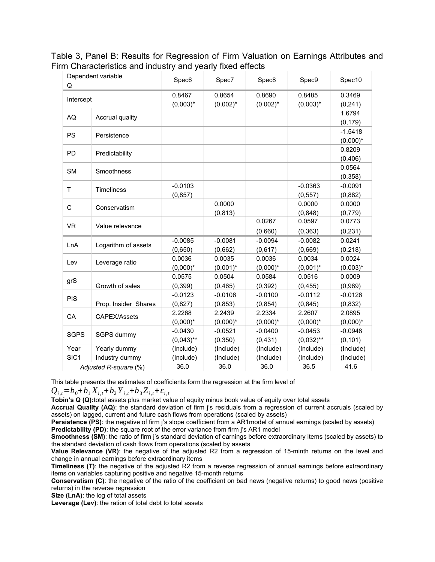Table 3, Panel B: Results for Regression of Firm Valuation on Earnings Attributes and Firm Characteristics and industry and yearly fixed effects

| Q                | Dependent variable    | Spec6        | Spec7       | Spec8       | Spec9        | Spec10      |
|------------------|-----------------------|--------------|-------------|-------------|--------------|-------------|
|                  |                       | 0.8467       | 0.8654      | 0.8690      | 0.8485       | 0.3469      |
| Intercept        |                       | $(0,003)^*$  | $(0,002)^*$ | $(0,002)^*$ | $(0,003)^*$  | (0, 241)    |
| AQ               | Accrual quality       |              |             |             |              | 1.6794      |
|                  |                       |              |             |             |              | (0, 179)    |
| <b>PS</b>        | Persistence           |              |             |             |              | $-1.5418$   |
|                  |                       |              |             |             |              | $(0,000)^*$ |
| PD               | Predictability        |              |             |             |              | 0.8209      |
|                  |                       |              |             |             |              | (0,406)     |
| <b>SM</b>        | Smoothness            |              |             |             |              | 0.0564      |
|                  |                       |              |             |             |              | (0, 358)    |
| T                | Timeliness            | $-0.0103$    |             |             | $-0.0363$    | $-0.0091$   |
|                  |                       | (0, 857)     |             |             | (0, 557)     | (0,882)     |
| C                | Conservatism          |              | 0.0000      |             | 0.0000       | 0.0000      |
|                  |                       |              | (0, 813)    |             | (0, 848)     | (0,779)     |
| <b>VR</b>        | Value relevance       |              |             | 0.0267      | 0.0597       | 0.0773      |
|                  |                       |              |             | (0,660)     | (0, 363)     | (0, 231)    |
| LnA              | Logarithm of assets   | $-0.0085$    | $-0.0081$   | $-0.0094$   | $-0.0082$    | 0.0241      |
|                  |                       | (0,650)      | (0,662)     | (0,617)     | (0,669)      | (0, 218)    |
| Lev              | Leverage ratio        | 0.0036       | 0.0035      | 0.0036      | 0.0034       | 0.0024      |
|                  |                       | $(0,000)^*$  | $(0,001)^*$ | $(0,000)^*$ | $(0,001)^*$  | $(0,003)^*$ |
| grS              |                       | 0.0575       | 0.0504      | 0.0584      | 0.0516       | 0.0009      |
|                  | Growth of sales       | (0, 399)     | (0, 465)    | (0, 392)    | (0, 455)     | (0,989)     |
| <b>PIS</b>       |                       | $-0.0123$    | $-0.0106$   | $-0.0100$   | $-0.0112$    | $-0.0126$   |
|                  | Prop. Insider Shares  | (0,827)      | (0, 853)    | (0, 854)    | (0, 845)     | (0, 832)    |
| CA               | CAPEX/Assets          | 2.2268       | 2.2439      | 2.2334      | 2.2607       | 2.0895      |
|                  |                       | $(0,000)^*$  | $(0,000)^*$ | $(0,000)^*$ | $(0,000)^*$  | $(0,000)^*$ |
| <b>SGPS</b>      | SGPS dummy            | $-0.0430$    | $-0.0521$   | $-0.0400$   | $-0.0453$    | $-0.0948$   |
|                  |                       | $(0,043)$ ** | (0, 350)    | (0, 431)    | $(0,032)$ ** | (0, 101)    |
| Year             | Yearly dummy          | (Include)    | (Include)   | (Include)   | (Include)    | (Include)   |
| SIC <sub>1</sub> | Industry dummy        | (Include)    | (Include)   | (Include)   | (Include)    | (Include)   |
|                  | Adjusted R-square (%) | 36.0         | 36.0        | 36.0        | 36.5         | 41.6        |

This table presents the estimates of coefficients form the regression at the firm level of

 $Q_{i,t} = b_0 + b_1 X_{i,t} + b_2 Y_{i,t} + b_3 Z_{i,t} + \varepsilon_{i,t}$ 

**Tobin's Q (Q):**total assets plus market value of equity minus book value of equity over total assets

**Accrual Quality (AQ)**: the standard deviation of firm j's residuals from a regression of current accruals (scaled by assets) on lagged, current and future cash flows from operations (scaled by assets)

**Persistence (PS)**: the negative of firm *i*'s slope coefficient from a AR1model of annual earnings (scaled by assets) **Predictability (PD)**: the square root of the error variance from firm i's AR1 model

**Smoothness (SM)**: the ratio of firm j's standard deviation of earnings before extraordinary items (scaled by assets) to the standard deviation of cash flows from operations (scaled by assets

**Value Relevance (VR)**: the negative of the adjusted R2 from a regression of 15-minth returns on the level and change in annual earnings before extraordinary items

**Timeliness (T)**: the negative of the adjusted R2 from a reverse regression of annual earnings before extraordinary items on variables capturing positive and negative 15-month returns

**Conservatism (C)**: the negative of the ratio of the coefficient on bad news (negative returns) to good news (positive returns) in the reverse regression

**Size (LnA)**: the log of total assets

**Leverage (Lev)**: the ration of total debt to total assets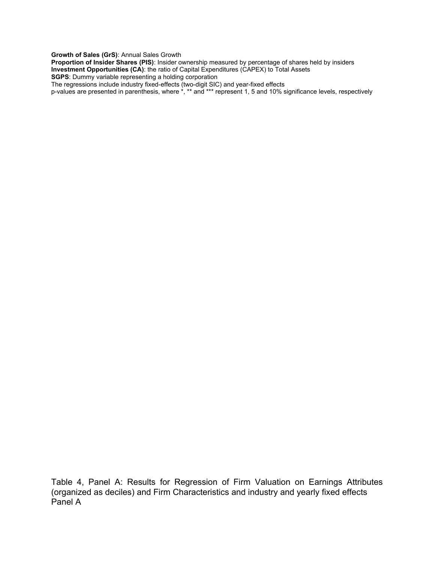**Growth of Sales (GrS)**: Annual Sales Growth

**Proportion of Insider Shares (PIS)**: Insider ownership measured by percentage of shares held by insiders **Investment Opportunities (CA)**: the ratio of Capital Expenditures (CAPEX) to Total Assets **SGPS**: Dummy variable representing a holding corporation

The regressions include industry fixed-effects (two-digit SIC) and year-fixed effects

p-values are presented in parenthesis, where \*, \*\* and \*\*\* represent 1, 5 and 10% significance levels, respectively

Table 4, Panel A: Results for Regression of Firm Valuation on Earnings Attributes (organized as deciles) and Firm Characteristics and industry and yearly fixed effects Panel A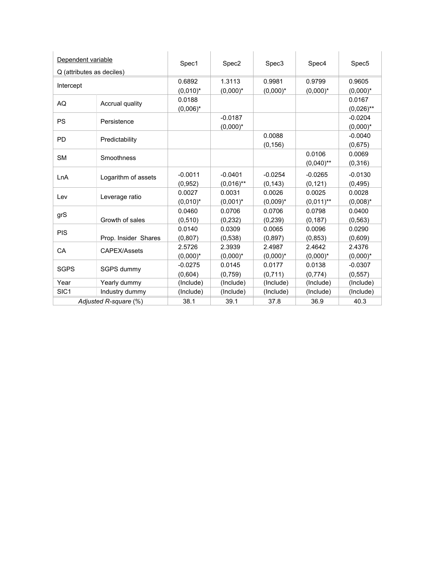| Dependent variable        |                       | Spec1                 | Spec2                     | Spec3                 | Spec4                  | Spec5                    |
|---------------------------|-----------------------|-----------------------|---------------------------|-----------------------|------------------------|--------------------------|
| Q (attributes as deciles) |                       |                       |                           |                       |                        |                          |
| Intercept                 |                       | 0.6892                | 1.3113                    | 0.9981                | 0.9799                 | 0.9605                   |
|                           |                       | $(0,010)^*$           | $(0,000)^*$               | $(0,000)^*$           | $(0,000)^*$            | $(0,000)^*$              |
| AQ                        | Accrual quality       | 0.0188<br>$(0,006)^*$ |                           |                       |                        | 0.0167<br>$(0,026)$ **   |
| <b>PS</b>                 | Persistence           |                       | $-0.0187$<br>$(0,000)^*$  |                       |                        | $-0.0204$<br>$(0,000)^*$ |
| PD                        | Predictability        |                       |                           | 0.0088<br>(0, 156)    |                        | $-0.0040$<br>(0,675)     |
| <b>SM</b>                 | Smoothness            |                       |                           |                       | 0.0106<br>$(0,040)$ ** | 0.0069<br>(0, 316)       |
| LnA                       | Logarithm of assets   | $-0.0011$<br>(0, 952) | $-0.0401$<br>$(0,016)$ ** | $-0.0254$<br>(0, 143) | $-0.0265$<br>(0, 121)  | $-0.0130$<br>(0, 495)    |
| Lev                       | Leverage ratio        | 0.0027<br>$(0,010)^*$ | 0.0031<br>$(0,001)^*$     | 0.0026<br>$(0,009)^*$ | 0.0025<br>$(0,011)$ ** | 0.0028<br>$(0,008)^*$    |
| grS                       | Growth of sales       | 0.0460<br>(0, 510)    | 0.0706<br>(0, 232)        | 0.0706<br>(0, 239)    | 0.0798<br>(0, 187)     | 0.0400<br>(0, 563)       |
| <b>PIS</b>                | Prop. Insider Shares  | 0.0140<br>(0, 807)    | 0.0309<br>(0, 538)        | 0.0065<br>(0, 897)    | 0.0096<br>(0, 853)     | 0.0290<br>(0,609)        |
| CA                        | CAPEX/Assets          | 2.5726<br>$(0,000)^*$ | 2.3939<br>$(0,000)^*$     | 2.4987<br>$(0,000)^*$ | 2.4642<br>$(0,000)^*$  | 2.4376<br>$(0,000)^*$    |
| <b>SGPS</b>               | SGPS dummy            | $-0.0275$<br>(0,604)  | 0.0145<br>(0, 759)        | 0.0177<br>(0,711)     | 0.0138<br>(0,774)      | $-0.0307$<br>(0, 557)    |
| Year                      | Yearly dummy          | (Include)             | (Include)                 | (Include)             | (Include)              | (Include)                |
| SIC <sub>1</sub>          | Industry dummy        | (Include)             | (Include)                 | (Include)             | (Include)              | (Include)                |
|                           | Adjusted R-square (%) | 38.1                  | 39.1                      | 37.8                  | 36.9                   | 40.3                     |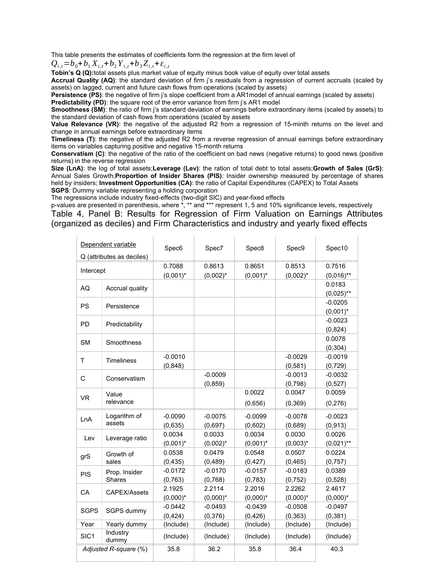This table presents the estimates of coefficients form the regression at the firm level of

 $Q_{i,t} = b_0 + b_1 X_{i,t} + b_2 Y_{i,t} + b_3 Z_{i,t} + \varepsilon_{i,t}$ 

**Tobin's Q (Q):**total assets plus market value of equity minus book value of equity over total assets

**Accrual Quality (AQ)**: the standard deviation of firm j's residuals from a regression of current accruals (scaled by assets) on lagged, current and future cash flows from operations (scaled by assets)

**Persistence (PS)**: the negative of firm *i*'s slope coefficient from a AR1model of annual earnings (scaled by assets) **Predictability (PD)**: the square root of the error variance from firm i's AR1 model

**Smoothness (SM)**: the ratio of firm j's standard deviation of earnings before extraordinary items (scaled by assets) to the standard deviation of cash flows from operations (scaled by assets

**Value Relevance (VR)**: the negative of the adjusted R2 from a regression of 15-minth returns on the level and change in annual earnings before extraordinary items

**Timeliness (T)**: the negative of the adjusted R2 from a reverse regression of annual earnings before extraordinary items on variables capturing positive and negative 15-month returns

**Conservatism (C)**: the negative of the ratio of the coefficient on bad news (negative returns) to good news (positive returns) in the reverse regression

**Size (LnA)**: the log of total assets;**Leverage (Lev)**: the ration of total debt to total assets;**Growth of Sales (GrS)**: Annual Sales Growth;**Proportion of Insider Shares (PIS)**: Insider ownership measured by percentage of shares held by insiders; **Investment Opportunities (CA)**: the ratio of Capital Expenditures (CAPEX) to Total Assets **SGPS**: Dummy variable representing a holding corporation

The regressions include industry fixed-effects (two-digit SIC) and year-fixed effects

p-values are presented in parenthesis, where \*, \*\* and \*\*\* represent 1, 5 and 10% significance levels, respectively Table 4, Panel B: Results for Regression of Firm Valuation on Earnings Attributes (organized as deciles) and Firm Characteristics and industry and yearly fixed effects

|                  | Dependent variable        | Spec6       | Spec7       | Spec8       | Spec9       | Spec10       |
|------------------|---------------------------|-------------|-------------|-------------|-------------|--------------|
|                  | Q (attributes as deciles) |             |             |             |             |              |
| Intercept        |                           | 0.7088      | 0.8613      | 0.8651      | 0.8513      | 0.7516       |
|                  |                           | $(0,001)^*$ | $(0,002)^*$ | $(0,001)^*$ | $(0,002)^*$ | $(0,016)$ ** |
| AQ               | Accrual quality           |             |             |             |             | 0.0183       |
|                  |                           |             |             |             |             | $(0,025)$ ** |
| PS               | Persistence               |             |             |             |             | $-0.0205$    |
|                  |                           |             |             |             |             | $(0,001)^*$  |
| PD               | Predictability            |             |             |             |             | $-0.0023$    |
|                  |                           |             |             |             |             | (0,824)      |
| <b>SM</b>        | Smoothness                |             |             |             |             | 0.0078       |
|                  |                           |             |             |             |             | (0, 304)     |
| $\top$           | <b>Timeliness</b>         | $-0.0010$   |             |             | $-0.0029$   | $-0.0019$    |
|                  |                           | (0, 848)    |             |             | (0, 581)    | (0, 729)     |
| $\mathsf C$      | Conservatism              |             | $-0.0009$   |             | $-0.0013$   | $-0.0032$    |
|                  |                           |             | (0, 859)    |             | (0,798)     | (0,527)      |
| <b>VR</b>        | Value                     |             |             | 0.0022      | 0.0047      | 0.0059       |
|                  | relevance                 |             |             | (0,656)     | (0, 369)    | (0, 276)     |
| LnA              | Logarithm of              | $-0.0090$   | $-0.0075$   | $-0.0099$   | $-0.0078$   | $-0.0023$    |
|                  | assets                    | (0,635)     | (0,697)     | (0,602)     | (0,689)     | (0, 913)     |
|                  |                           | 0.0034      | 0.0033      | 0.0034      | 0.0030      | 0.0026       |
| Lev              | Leverage ratio            | $(0,001)^*$ | $(0,002)^*$ | $(0,001)^*$ | $(0,003)^*$ | $(0,021)$ ** |
|                  | Growth of                 | 0.0538      | 0.0479      | 0.0548      | 0.0507      | 0.0224       |
| grS              | sales                     | (0, 435)    | (0, 489)    | (0, 427)    | (0, 465)    | (0, 757)     |
| <b>PIS</b>       | Prop. Insider             | $-0.0172$   | $-0.0170$   | $-0.0157$   | $-0.0183$   | 0.0389       |
|                  | <b>Shares</b>             | (0, 763)    | (0,768)     | (0, 783)    | (0, 752)    | (0, 528)     |
| CA               | CAPEX/Assets              | 2.1925      | 2.2114      | 2.2016      | 2.2262      | 2.4617       |
|                  |                           | $(0,000)^*$ | $(0,000)^*$ | $(0,000)^*$ | $(0,000)^*$ | $(0,000)^*$  |
| <b>SGPS</b>      | SGPS dummy                | $-0.0442$   | $-0.0493$   | $-0.0439$   | $-0.0508$   | $-0.0497$    |
|                  |                           | (0, 424)    | (0, 376)    | (0,426)     | (0, 363)    | (0, 381)     |
| Year             | Yearly dummy              | (Include)   | (Include)   | (Include)   | (Include)   | (Include)    |
| SIC <sub>1</sub> | Industry<br>dummy         | (Include)   | (Include)   | (Include)   | (Include)   | (Include)    |
|                  | Adjusted R-square (%)     | 35.8        | 36.2        | 35.8        | 36.4        | 40.3         |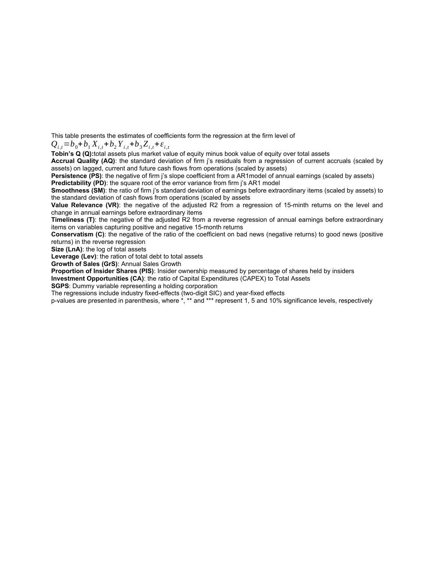This table presents the estimates of coefficients form the regression at the firm level of

 $Q_{i,t} = b_0 + b_1 X_{i,t} + b_2 Y_{i,t} + b_3 Z_{i,t} + \varepsilon_{i,t}$ 

**Tobin's Q (Q):**total assets plus market value of equity minus book value of equity over total assets

**Accrual Quality (AQ)**: the standard deviation of firm j's residuals from a regression of current accruals (scaled by assets) on lagged, current and future cash flows from operations (scaled by assets)

**Persistence (PS)**: the negative of firm *i*'s slope coefficient from a AR1model of annual earnings (scaled by assets) **Predictability (PD)**: the square root of the error variance from firm j's AR1 model

**Smoothness (SM)**: the ratio of firm j's standard deviation of earnings before extraordinary items (scaled by assets) to the standard deviation of cash flows from operations (scaled by assets

**Value Relevance (VR)**: the negative of the adjusted R2 from a regression of 15-minth returns on the level and change in annual earnings before extraordinary items

**Timeliness (T)**: the negative of the adjusted R2 from a reverse regression of annual earnings before extraordinary items on variables capturing positive and negative 15-month returns

**Conservatism (C)**: the negative of the ratio of the coefficient on bad news (negative returns) to good news (positive returns) in the reverse regression

**Size (LnA)**: the log of total assets

**Leverage (Lev)**: the ration of total debt to total assets

**Growth of Sales (GrS)**: Annual Sales Growth

**Proportion of Insider Shares (PIS)**: Insider ownership measured by percentage of shares held by insiders

**Investment Opportunities (CA)**: the ratio of Capital Expenditures (CAPEX) to Total Assets

**SGPS**: Dummy variable representing a holding corporation

The regressions include industry fixed-effects (two-digit SIC) and year-fixed effects

p-values are presented in parenthesis, where \*, \*\* and \*\*\* represent 1, 5 and 10% significance levels, respectively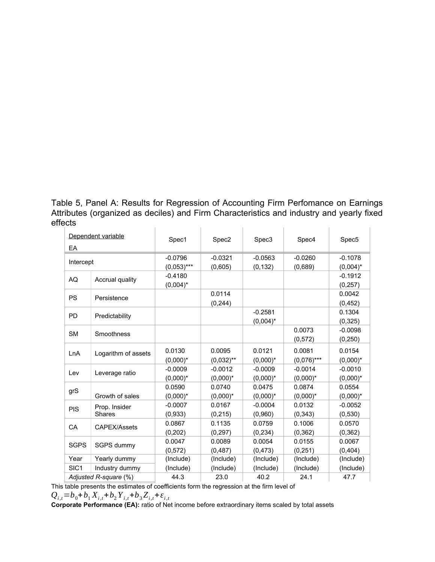Table 5, Panel A: Results for Regression of Accounting Firm Perfomance on Earnings Attributes (organized as deciles) and Firm Characteristics and industry and yearly fixed effects  $\overline{1}$  $\mathbf{r}$ 

| EA               | Dependent variable             | Spec1                      | Spec <sub>2</sub>        | Spec3                    | Spec4                    | Spec <sub>5</sub>        |
|------------------|--------------------------------|----------------------------|--------------------------|--------------------------|--------------------------|--------------------------|
| Intercept        |                                | $-0.0796$<br>$(0,053)$ *** | $-0.0321$<br>(0,605)     | $-0.0563$<br>(0, 132)    | $-0.0260$<br>(0,689)     | $-0.1078$<br>$(0,004)^*$ |
| AQ               | Accrual quality                | $-0.4180$<br>$(0,004)^*$   |                          |                          |                          | $-0.1912$<br>(0, 257)    |
| <b>PS</b>        | Persistence                    |                            | 0.0114<br>(0, 244)       |                          |                          | 0.0042<br>(0, 452)       |
| <b>PD</b>        | Predictability                 |                            |                          | $-0.2581$<br>$(0,004)^*$ |                          | 0.1304<br>(0, 325)       |
| <b>SM</b>        | Smoothness                     |                            |                          |                          | 0.0073<br>(0, 572)       | $-0.0098$<br>(0, 250)    |
| LnA              | Logarithm of assets            | 0.0130<br>$(0.000)^*$      | 0.0095<br>$(0,032)$ **   | 0.0121<br>$(0,000)^*$    | 0.0081<br>$(0,076)$ ***  | 0.0154<br>$(0,000)^*$    |
| Lev              | Leverage ratio                 | $-0.0009$<br>$(0,000)^*$   | $-0.0012$<br>$(0,000)^*$ | $-0.0009$<br>$(0,000)^*$ | $-0.0014$<br>$(0,000)^*$ | $-0.0010$<br>$(0,000)^*$ |
| grS              | Growth of sales                | 0.0590<br>$(0,000)^*$      | 0.0740<br>$(0,000)^*$    | 0.0475<br>$(0,000)^*$    | 0.0874<br>$(0,000)^*$    | 0.0554<br>$(0,000)^*$    |
| <b>PIS</b>       | Prop. Insider<br><b>Shares</b> | $-0.0007$<br>(0.933)       | 0.0167<br>(0, 215)       | $-0.0004$<br>(0.960)     | 0.0132<br>(0, 343)       | $-0.0052$<br>(0.530)     |
| CA               | CAPEX/Assets                   | 0.0867<br>(0, 202)         | 0.1135<br>(0, 297)       | 0.0759<br>(0, 234)       | 0.1006<br>(0, 362)       | 0.0570<br>(0, 362)       |
| <b>SGPS</b>      | SGPS dummy                     | 0.0047<br>(0, 572)         | 0.0089<br>(0, 487)       | 0.0054<br>(0, 473)       | 0.0155<br>(0, 251)       | 0.0067<br>(0,404)        |
| Year             | Yearly dummy                   | (Include)                  | (Include)                | (Include)                | (Include)                | (Include)                |
| SIC <sub>1</sub> | Industry dummy                 | (Include)                  | (Include)                | (Include)                | (Include)                | (Include)                |
|                  | Adjusted R-square (%)          | 44.3                       | 23.0                     | 40.2                     | 24.1                     | 47.7                     |

This table presents the estimates of coefficients form the regression at the firm level of  $Q_{i,t} = b_0 + b_1 X_{i,t} + b_2 Y_{i,t} + b_3 Z_{i,t} + \varepsilon_{i,t}$ 

Corporate Performance (EA): ratio of Net income before extraordinary items scaled by total assets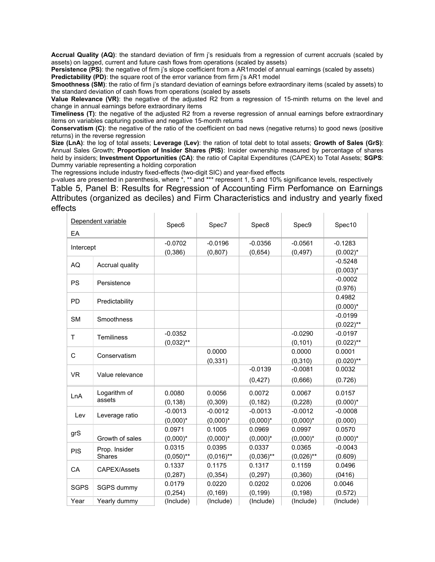**Accrual Quality (AQ)**: the standard deviation of firm j's residuals from a regression of current accruals (scaled by assets) on lagged, current and future cash flows from operations (scaled by assets)

**Persistence (PS)**: the negative of firm i's slope coefficient from a AR1model of annual earnings (scaled by assets) **Predictability (PD)**: the square root of the error variance from firm i's AR1 model

**Smoothness (SM)**: the ratio of firm j's standard deviation of earnings before extraordinary items (scaled by assets) to the standard deviation of cash flows from operations (scaled by assets

**Value Relevance (VR)**: the negative of the adjusted R2 from a regression of 15-minth returns on the level and change in annual earnings before extraordinary items

**Timeliness (T)**: the negative of the adjusted R2 from a reverse regression of annual earnings before extraordinary items on variables capturing positive and negative 15-month returns

**Conservatism (C)**: the negative of the ratio of the coefficient on bad news (negative returns) to good news (positive returns) in the reverse regression

**Size (LnA)**: the log of total assets; **Leverage (Lev)**: the ration of total debt to total assets; **Growth of Sales (GrS)**: Annual Sales Growth; **Proportion of Insider Shares (PIS)**: Insider ownership measured by percentage of shares held by insiders; **Investment Opportunities (CA)**: the ratio of Capital Expenditures (CAPEX) to Total Assets; **SGPS**: Dummy variable representing a holding corporation

The regressions include industry fixed-effects (two-digit SIC) and year-fixed effects

p-values are presented in parenthesis, where \*, \*\* and \*\*\* represent 1, 5 and 10% significance levels, respectively Table 5, Panel B: Results for Regression of Accounting Firm Perfomance on Earnings Attributes (organized as deciles) and Firm Characteristics and industry and yearly fixed effects

| EA          | Dependent variable             | Spec6                     | Spec7                    | Spec8                    | Spec9                    | Spec10                    |
|-------------|--------------------------------|---------------------------|--------------------------|--------------------------|--------------------------|---------------------------|
| Intercept   |                                | $-0.0702$<br>(0, 386)     | $-0.0196$<br>(0, 807)    | $-0.0356$<br>(0,654)     | $-0.0561$<br>(0, 497)    | $-0.1283$<br>$(0.002)^*$  |
| AQ          | Accrual quality                |                           |                          |                          |                          | $-0.5248$<br>$(0.003)^*$  |
| <b>PS</b>   | Persistence                    |                           |                          |                          |                          | $-0.0002$<br>(0.976)      |
| PD          | Predictability                 |                           |                          |                          |                          | 0.4982<br>$(0.000)^*$     |
| <b>SM</b>   | Smoothness                     |                           |                          |                          |                          | $-0.0199$<br>$(0.022)$ ** |
| T.          | Temiliness                     | $-0.0352$<br>$(0,032)$ ** |                          |                          | $-0.0290$<br>(0, 101)    | $-0.0197$<br>$(0.022)$ ** |
| C           | Conservatism                   |                           | 0.0000<br>(0, 331)       |                          | 0.0000<br>(0, 310)       | 0.0001<br>$(0.020)$ **    |
| <b>VR</b>   | Value relevance                |                           |                          | $-0.0139$<br>(0, 427)    | $-0.0081$<br>(0,666)     | 0.0032<br>(0.726)         |
| LnA         | Logarithm of<br>assets         | 0.0080<br>(0, 138)        | 0.0056<br>(0, 309)       | 0.0072<br>(0, 182)       | 0.0067<br>(0, 228)       | 0.0157<br>$(0.000)^*$     |
| Lev         | Leverage ratio                 | $-0.0013$<br>$(0,000)^*$  | $-0.0012$<br>$(0,000)^*$ | $-0.0013$<br>$(0,000)^*$ | $-0.0012$<br>$(0,000)^*$ | $-0.0008$<br>(0.000)      |
| grS         | Growth of sales                | 0.0971<br>$(0,000)^*$     | 0.1005<br>$(0,000)^*$    | 0.0969<br>$(0,000)*$     | 0.0997<br>$(0,000)^*$    | 0.0570<br>$(0.000)*$      |
| <b>PIS</b>  | Prop. Insider<br><b>Shares</b> | 0.0315<br>$(0,050)$ **    | 0.0395<br>$(0,016)$ **   | 0.0337<br>$(0,036)$ **   | 0.0365<br>$(0,026)$ **   | $-0.0043$<br>(0.609)      |
| CA          | CAPEX/Assets                   | 0.1337<br>(0, 287)        | 0.1175<br>(0, 354)       | 0.1317<br>(0, 297)       | 0.1159<br>(0, 360)       | 0.0496<br>(0416)          |
| <b>SGPS</b> | SGPS dummy                     | 0.0179<br>(0, 254)        | 0.0220<br>(0, 169)       | 0.0202<br>(0, 199)       | 0.0206<br>(0, 198)       | 0.0046<br>(0.572)         |
| Year        | Yearly dummy                   | (Include)                 | (Include)                | (Include)                | (Include)                | (Include)                 |